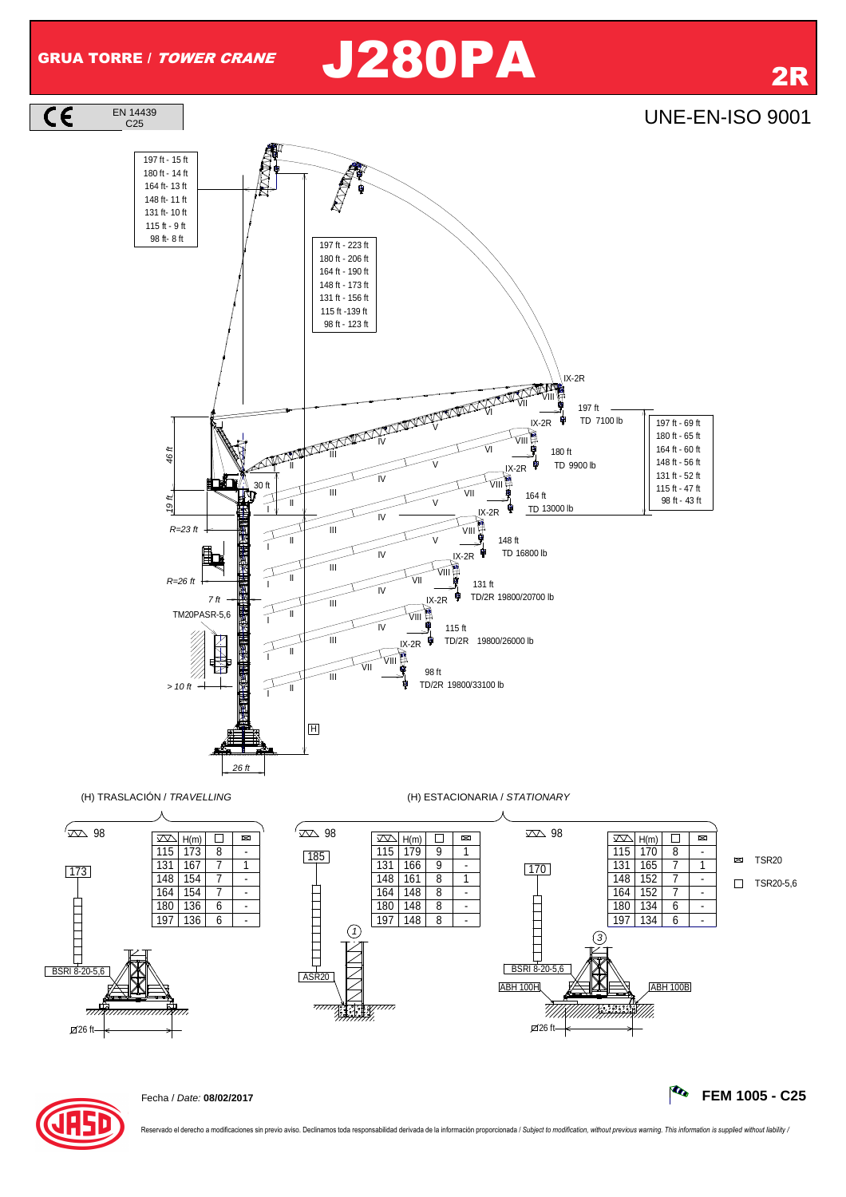## GRUA TORRE / *TOWER CRANE* J280PA 2R





Reservado el derecho a modificaciones sin previo aviso. Declinamos toda responsabilidad derivada de la información proporcionada / Subject to modification, without previous warning. This information is supplied without lia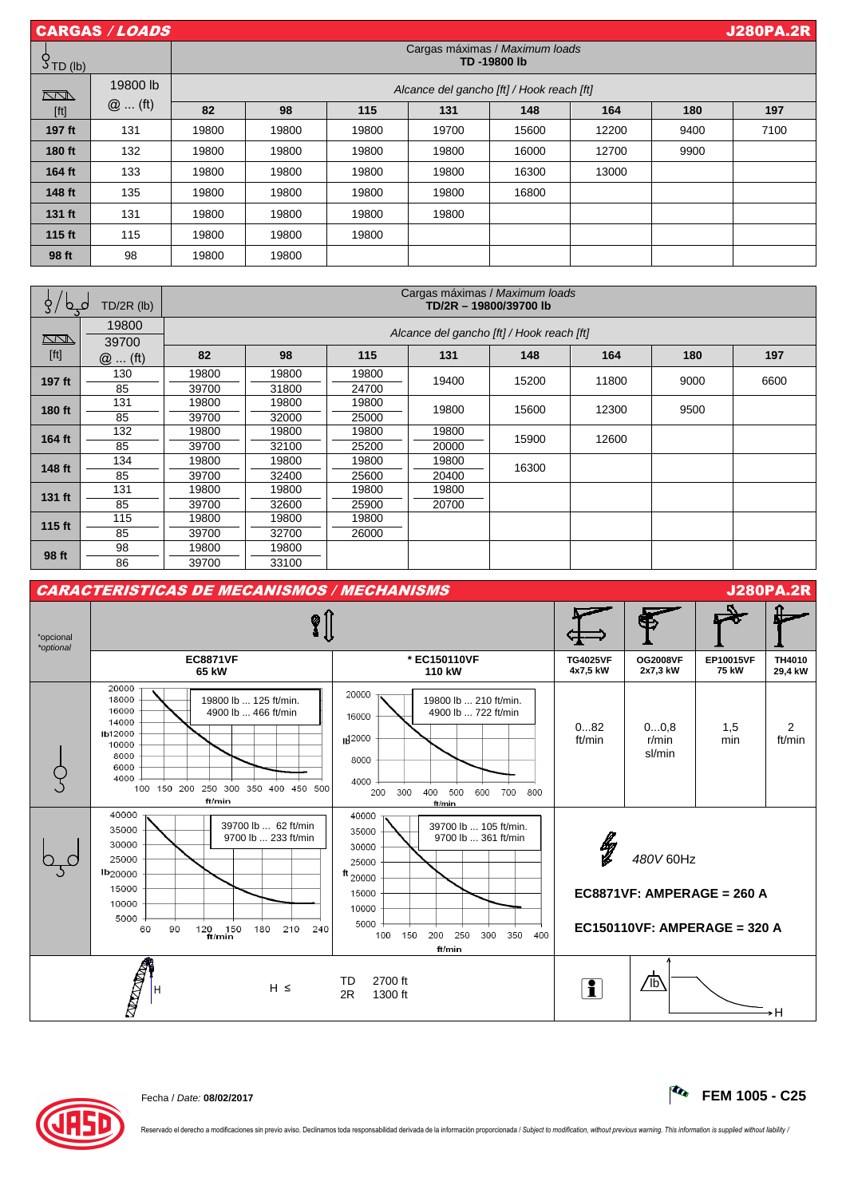| CARGAS / LOADS |                                               |                                           |       |       |       |       | <b>J280PA.2R</b> |      |      |
|----------------|-----------------------------------------------|-------------------------------------------|-------|-------|-------|-------|------------------|------|------|
| $5$ TD (lb)    | Cargas máximas / Maximum loads<br>TD-19800 lb |                                           |       |       |       |       |                  |      |      |
| $\Box$         | 19800 lb                                      | Alcance del gancho [ft] / Hook reach [ft] |       |       |       |       |                  |      |      |
| [ft]           | $@$ (ft)                                      | 82                                        | 98    | 115   | 131   | 148   | 164              | 180  | 197  |
| 197 ft         | 131                                           | 19800                                     | 19800 | 19800 | 19700 | 15600 | 12200            | 9400 | 7100 |
| 180 ft         | 132                                           | 19800                                     | 19800 | 19800 | 19800 | 16000 | 12700            | 9900 |      |
| 164 ft         | 133                                           | 19800                                     | 19800 | 19800 | 19800 | 16300 | 13000            |      |      |
| 148 ft         | 135                                           | 19800                                     | 19800 | 19800 | 19800 | 16800 |                  |      |      |
| 131 ft         | 131                                           | 19800                                     | 19800 | 19800 | 19800 |       |                  |      |      |
| 115 ft         | 115                                           | 19800                                     | 19800 | 19800 |       |       |                  |      |      |
| 98 ft          | 98                                            | 19800                                     | 19800 |       |       |       |                  |      |      |

| $TD/2R$ (lb)<br>C<br>$\circ$                                                                                                                                                                                          |          | Cargas máximas / Maximum loads<br>TD/2R - 19800/39700 lb |       |       |       |       |       |      |      |  |
|-----------------------------------------------------------------------------------------------------------------------------------------------------------------------------------------------------------------------|----------|----------------------------------------------------------|-------|-------|-------|-------|-------|------|------|--|
|                                                                                                                                                                                                                       | 19800    | Alcance del gancho [ft] / Hook reach [ft]                |       |       |       |       |       |      |      |  |
| $\sum\!N}$                                                                                                                                                                                                            | 39700    |                                                          |       |       |       |       |       |      |      |  |
| $[ft] % \begin{center} % \includegraphics[width=\linewidth]{imagesSupplemental_3.png} % \end{center} % \caption { % Our method is used for the method. % The method is used in the text. % } % \label{fig:example} %$ | $@$ (ft) | 82                                                       | 98    | 115   | 131   | 148   | 164   | 180  | 197  |  |
| 197 ft                                                                                                                                                                                                                | 130      | 19800                                                    | 19800 | 19800 | 19400 | 15200 | 11800 | 9000 | 6600 |  |
|                                                                                                                                                                                                                       | 85       | 39700                                                    | 31800 | 24700 |       |       |       |      |      |  |
| 180 ft                                                                                                                                                                                                                | 131      | 19800                                                    | 19800 | 19800 | 19800 | 15600 | 12300 | 9500 |      |  |
|                                                                                                                                                                                                                       | 85       | 39700                                                    | 32000 | 25000 |       |       |       |      |      |  |
| 164 ft                                                                                                                                                                                                                | 132      | 19800                                                    | 19800 | 19800 | 19800 | 15900 | 12600 |      |      |  |
|                                                                                                                                                                                                                       | 85       | 39700                                                    | 32100 | 25200 | 20000 |       |       |      |      |  |
| 148 ft                                                                                                                                                                                                                | 134      | 19800                                                    | 19800 | 19800 | 19800 | 16300 |       |      |      |  |
|                                                                                                                                                                                                                       | 85       | 39700                                                    | 32400 | 25600 | 20400 |       |       |      |      |  |
| 131 ft                                                                                                                                                                                                                | 131      | 19800                                                    | 19800 | 19800 | 19800 |       |       |      |      |  |
|                                                                                                                                                                                                                       | 85       | 39700                                                    | 32600 | 25900 | 20700 |       |       |      |      |  |
| 115 ft                                                                                                                                                                                                                | 115      | 19800                                                    | 19800 | 19800 |       |       |       |      |      |  |
|                                                                                                                                                                                                                       | 85       | 39700                                                    | 32700 | 26000 |       |       |       |      |      |  |
| 98 ft                                                                                                                                                                                                                 | 98       | 19800                                                    | 19800 |       |       |       |       |      |      |  |
|                                                                                                                                                                                                                       | 86       | 39700                                                    | 33100 |       |       |       |       |      |      |  |





Reservado el derecho a modificaciones sin previo aviso. Declinamos toda responsabilidad derivada de la información proporcionada / Subject to modification, without previous warning. This information is supplied without lia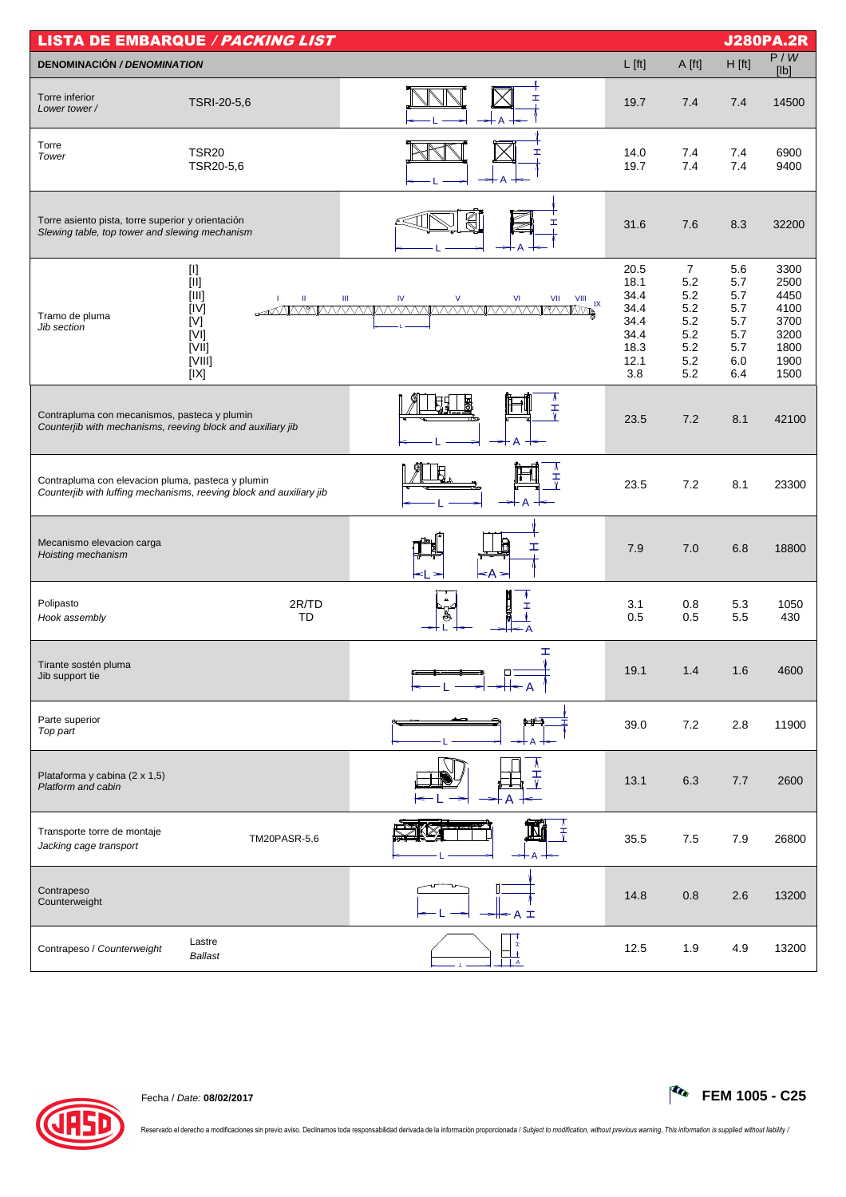| <b>LISTA DE EMBARQUE / PACKING LIST</b>                                                                     |                                                                       |                                                                                                   |                                                                     |                                                                        |                                                             |                                                                      |  |  |
|-------------------------------------------------------------------------------------------------------------|-----------------------------------------------------------------------|---------------------------------------------------------------------------------------------------|---------------------------------------------------------------------|------------------------------------------------------------------------|-------------------------------------------------------------|----------------------------------------------------------------------|--|--|
| <b>DENOMINACIÓN / DENOMINATION</b>                                                                          |                                                                       |                                                                                                   | $L$ [ft]                                                            | A [ft]                                                                 | $H$ [ft]                                                    | P/W<br>[Ib]                                                          |  |  |
| Torre inferior<br>Lower tower/                                                                              | TSRI-20-5,6                                                           | I                                                                                                 | 19.7                                                                | 7.4                                                                    | 7.4                                                         | 14500                                                                |  |  |
| Torre<br>Tower                                                                                              | <b>TSR20</b><br>TSR20-5,6                                             | I                                                                                                 | 14.0<br>19.7                                                        | 7.4<br>7.4                                                             | 7.4<br>7.4                                                  | 6900<br>9400                                                         |  |  |
| Torre asiento pista, torre superior y orientación<br>Slewing table, top tower and slewing mechanism         |                                                                       | ╣                                                                                                 | 31.6                                                                | 7.6                                                                    | 8.3                                                         | 32200                                                                |  |  |
| Tramo de pluma<br>Jib section                                                                               | $[11]$<br>[III]<br>Ш<br>[IV]<br>[V]<br>[V]<br>[VII]<br>[VIII]<br>[IX] | $\mathsf{V}$<br>$\mathsf{VI}$<br>Ш<br>IV<br>VII<br>$VIII$ $IX$<br>AVANTAVANTAVAVANTAVAVANTAVAVANT | 20.5<br>18.1<br>34.4<br>34.4<br>34.4<br>34.4<br>18.3<br>12.1<br>3.8 | $\overline{7}$<br>5.2<br>5.2<br>5.2<br>5.2<br>5.2<br>5.2<br>5.2<br>5.2 | 5.6<br>5.7<br>5.7<br>5.7<br>5.7<br>5.7<br>5.7<br>6.0<br>6.4 | 3300<br>2500<br>4450<br>4100<br>3700<br>3200<br>1800<br>1900<br>1500 |  |  |
| Contrapluma con mecanismos, pasteca y plumin<br>Counterjib with mechanisms, reeving block and auxiliary jib |                                                                       | ₹                                                                                                 | 23.5                                                                | 7.2                                                                    | 8.1                                                         | 42100                                                                |  |  |
| Contrapluma con elevacion pluma, pasteca y plumin                                                           | Counterjib with luffing mechanisms, reeving block and auxiliary jib   | A<br>$\frac{1}{\sqrt{2}}$<br>A                                                                    | 23.5                                                                | 7.2                                                                    | 8.1                                                         | 23300                                                                |  |  |
| Mecanismo elevacion carga<br>Hoisting mechanism                                                             |                                                                       | ェ<br><a< td=""><td>7.9</td><td>7.0</td><td>6.8</td><td>18800</td></a<>                            | 7.9                                                                 | 7.0                                                                    | 6.8                                                         | 18800                                                                |  |  |
| Polipasto<br>Hook assembly                                                                                  | 2R/TD<br>TD                                                           | $\Delta$                                                                                          | 3.1<br>0.5                                                          | 0.8<br>0.5                                                             | 5.3<br>5.5                                                  | 1050<br>430                                                          |  |  |
| Tirante sostén pluma<br>Jib support tie                                                                     |                                                                       | I<br>Ŵ                                                                                            | 19.1                                                                | 1.4                                                                    | 1.6                                                         | 4600                                                                 |  |  |
| Parte superior<br>Top part                                                                                  |                                                                       | ا الله                                                                                            | 39.0                                                                | 7.2                                                                    | 2.8                                                         | 11900                                                                |  |  |
| Plataforma y cabina (2 x 1,5)<br>Platform and cabin                                                         |                                                                       | т                                                                                                 | 13.1                                                                | 6.3                                                                    | 7.7                                                         | 2600                                                                 |  |  |
| Transporte torre de montaje<br>Jacking cage transport                                                       | TM20PASR-5,6                                                          | $\frac{1}{\tau}$                                                                                  | 35.5                                                                | 7.5                                                                    | 7.9                                                         | 26800                                                                |  |  |
| Contrapeso<br>Counterweight                                                                                 |                                                                       | ╬ A I                                                                                             | 14.8                                                                | 0.8                                                                    | 2.6                                                         | 13200                                                                |  |  |
| Contrapeso / Counterweight                                                                                  | Lastre<br><b>Ballast</b>                                              | x<br>A<br>$\mathcal{A}$                                                                           | 12.5                                                                | 1.9                                                                    | 4.9                                                         | 13200                                                                |  |  |



Reservado el derecho a modificaciones sin previo aviso. Declinamos toda responsabilidad derivada de la información proporcionada / Subject to modification, without previous warning. This information is supplied without lia